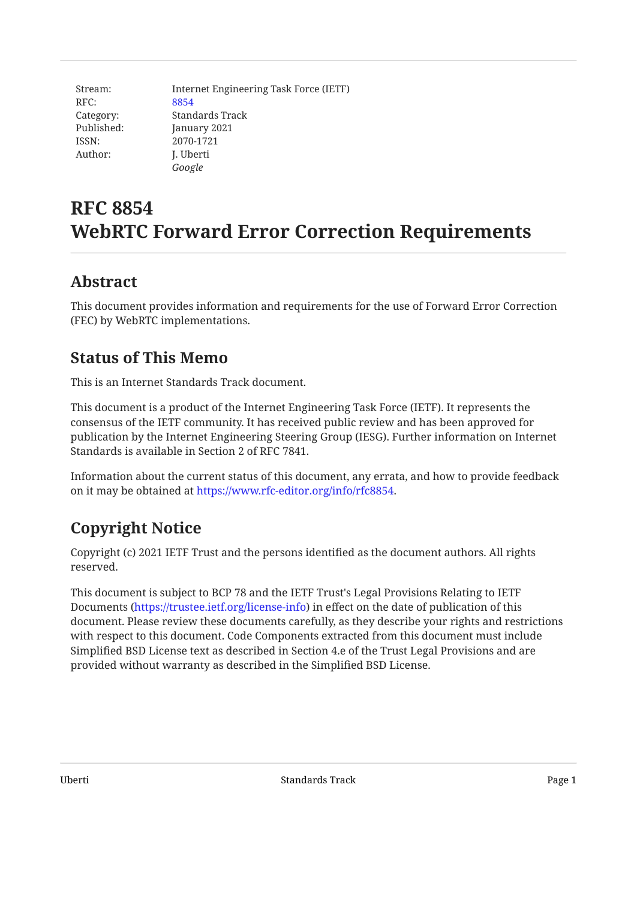| Stream:    | Internet Engineering Task Force (IETF) |
|------------|----------------------------------------|
| RFC:       | 8854                                   |
| Category:  | Standards Track                        |
| Published: | January 2021                           |
| ISSN:      | 2070-1721                              |
| Author:    | J. Uberti                              |
|            | Google                                 |

# **RFC 8854 WebRTC Forward Error Correction Requirements**

### <span id="page-0-0"></span>**[Abstract](#page-0-0)**

This document provides information and requirements for the use of Forward Error Correction (FEC) by WebRTC implementations.

# <span id="page-0-1"></span>**[Status of This Memo](#page-0-1)**

This is an Internet Standards Track document.

This document is a product of the Internet Engineering Task Force (IETF). It represents the consensus of the IETF community. It has received public review and has been approved for publication by the Internet Engineering Steering Group (IESG). Further information on Internet Standards is available in Section 2 of RFC 7841.

<span id="page-0-2"></span>Information about the current status of this document, any errata, and how to provide feedback on it may be obtained at <https://www.rfc-editor.org/info/rfc8854>.

# **[Copyright Notice](#page-0-2)**

Copyright (c) 2021 IETF Trust and the persons identified as the document authors. All rights reserved.

This document is subject to BCP 78 and the IETF Trust's Legal Provisions Relating to IETF Documents (<https://trustee.ietf.org/license-info>) in effect on the date of publication of this document. Please review these documents carefully, as they describe your rights and restrictions with respect to this document. Code Components extracted from this document must include Simplified BSD License text as described in Section 4.e of the Trust Legal Provisions and are provided without warranty as described in the Simplified BSD License.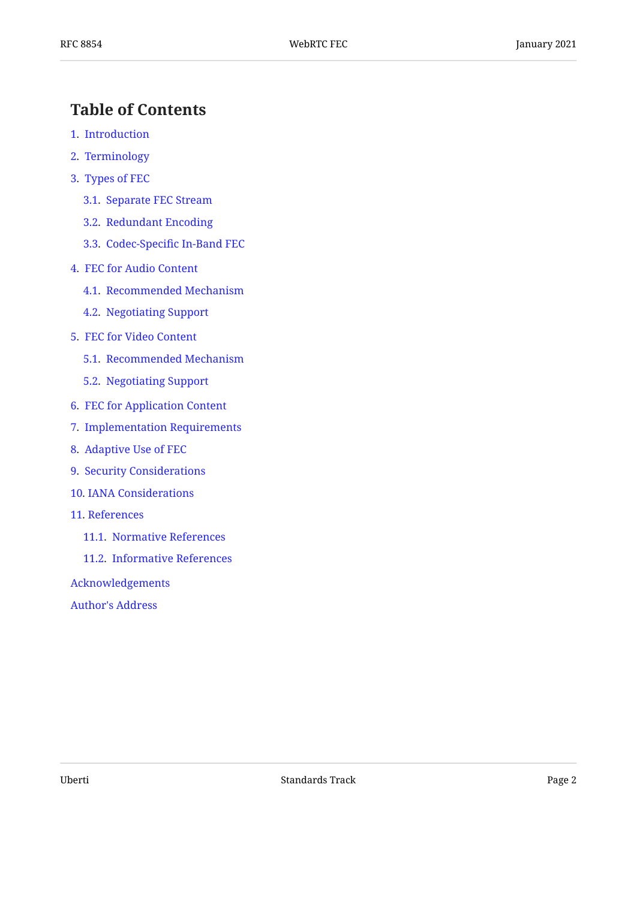# <span id="page-1-0"></span>**[Table of Contents](#page-1-0)**

- [1.](#page-2-0) [Introduction](#page-2-0)
- [2.](#page-2-1) [Terminology](#page-2-1)
- [3.](#page-2-2) [Types of FEC](#page-2-2)
	- [3.1.](#page-2-3) [Separate FEC Stream](#page-2-3)
	- [3.2.](#page-2-4) [Redundant Encoding](#page-2-4)
	- [3.3.](#page-3-0) Codec-Specifi[c In-Band FEC](#page-3-0)
- [4.](#page-3-1) [FEC for Audio Content](#page-3-1)
	- [4.1.](#page-3-2) [Recommended Mechanism](#page-3-2)
	- [4.2.](#page-4-0) [Negotiating Support](#page-4-0)
- [5.](#page-4-1) [FEC for Video Content](#page-4-1)
	- [5.1.](#page-4-2) [Recommended Mechanism](#page-4-2)
	- [5.2.](#page-5-0) [Negotiating Support](#page-5-0)
- [6.](#page-5-1) [FEC for Application Content](#page-5-1)
- [7.](#page-5-2) [Implementation Requirements](#page-5-2)
- [8.](#page-6-0) [Adaptive Use of FEC](#page-6-0)
- [9.](#page-6-1) [Security Considerations](#page-6-1)
- [10](#page-7-0). [IANA Considerations](#page-7-0)
- [11](#page-7-1). [References](#page-7-1)
	- [11.1](#page-7-2). [Normative References](#page-7-2)
	- [11.2](#page-7-3). [Informative References](#page-7-3)

[Acknowledgements](#page-9-0)

[Author's Address](#page-9-1)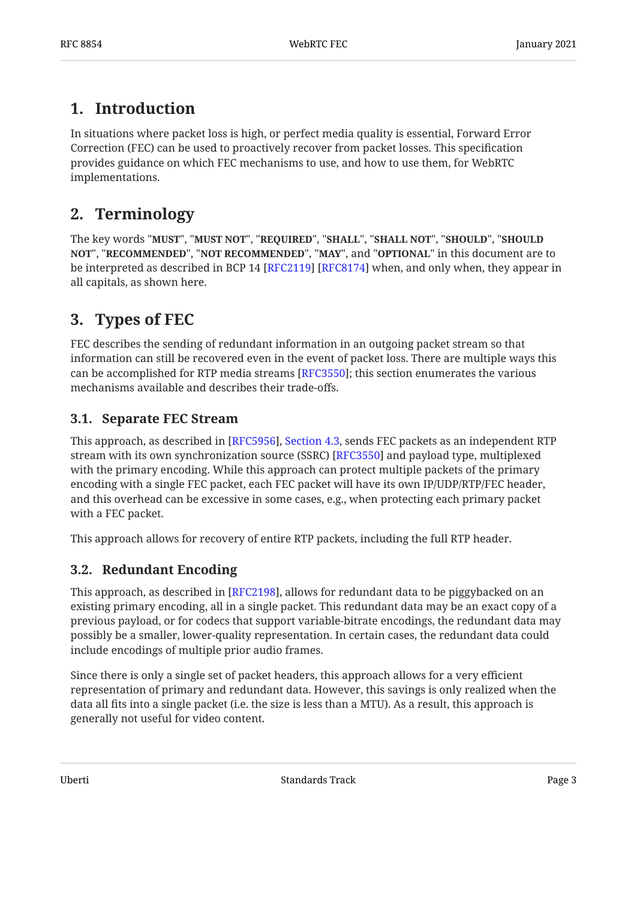# <span id="page-2-0"></span>**[1. Introduction](#page-2-0)**

In situations where packet loss is high, or perfect media quality is essential, Forward Error Correction (FEC) can be used to proactively recover from packet losses. This specification provides guidance on which FEC mechanisms to use, and how to use them, for WebRTC implementations.

# <span id="page-2-1"></span>**[2. Terminology](#page-2-1)**

The key words "MUST", "MUST NOT", "REQUIRED", "SHALL", "SHALL NOT", "SHOULD", "SHOULD <code>NOT",</code> "<code>RECOMMENDED", "NOT RECOMMENDED", "MAY", and "OPTIONAL" in this document are to</code> be interpreted as described in BCP 14 [RFC2119] [RFC8174] when, and only when, they appear in all capitals, as shown here.

# <span id="page-2-2"></span>**[3. Types of FEC](#page-2-2)**

FEC describes the sending of redundant information in an outgoing packet stream so that information can still be recovered even in the event of packet loss. There are multiple ways this can be accomplished for RTP media streams [[RFC3550\]](#page-8-0); this section enumerates the various mechanisms available and describes their trade-offs.

### <span id="page-2-3"></span>**[3.1. Separate FEC Stream](#page-2-3)**

This approach, as described in [RFC5956], Section 4.3, sends FEC packets as an independent RTP  $\,$ stream with its own synchronization source (SSRC) [RFC3550] and payload type, multiplexed with the primary encoding. While this approach can protect multiple packets of the primary encoding with a single FEC packet, each FEC packet will have its own IP/UDP/RTP/FEC header, and this overhead can be excessive in some cases, e.g., when protecting each primary packet with a FEC packet.

<span id="page-2-4"></span>This approach allows for recovery of entire RTP packets, including the full RTP header.

### **[3.2. Redundant Encoding](#page-2-4)**

This approach, as described in [RFC2198], allows for redundant data to be piggybacked on an existing primary encoding, all in a single packet. This redundant data may be an exact copy of a previous payload, or for codecs that support variable-bitrate encodings, the redundant data may possibly be a smaller, lower-quality representation. In certain cases, the redundant data could include encodings of multiple prior audio frames.

Since there is only a single set of packet headers, this approach allows for a very efficient representation of primary and redundant data. However, this savings is only realized when the data all fits into a single packet (i.e. the size is less than a MTU). As a result, this approach is generally not useful for video content.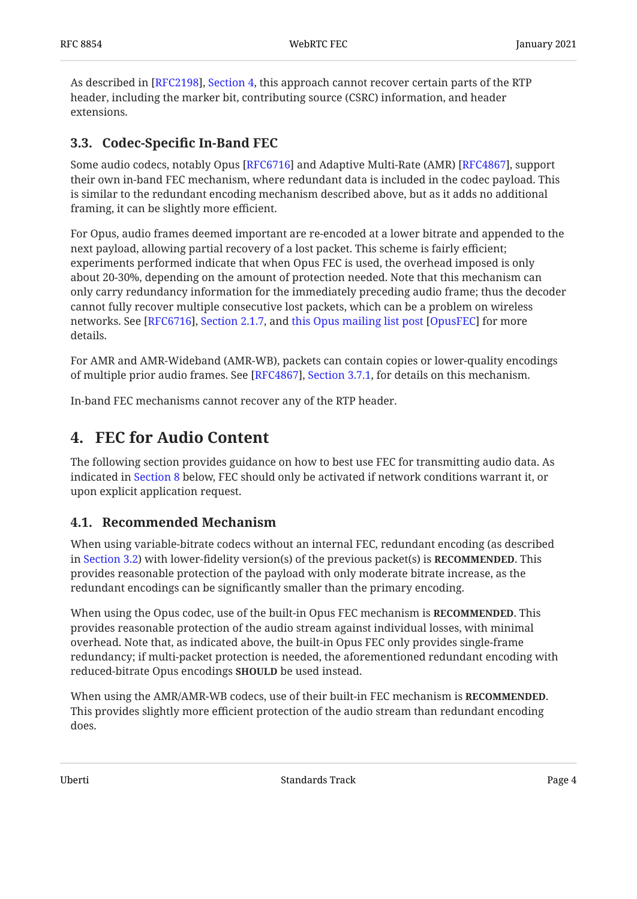As described in [RFC2198][,](https://www.rfc-editor.org/rfc/rfc2198#section-4) Section 4, this approach cannot recover certain parts of the RTP header, including the marker bit, contributing source (CSRC) information, and header extensions.

### <span id="page-3-0"></span>**[3.3. C](#page-3-0)odec-Specifi[c In-Band FEC](#page-3-0)**

Some audio codecs, notably Opus [RFC6716] and Adaptive Multi-Rate (AMR) [RFC4867], support their own in-band FEC mechanism, where redundant data is included in the codec payload. This is similar to the redundant encoding mechanism described above, but as it adds no additional framing, it can be slightly more efficient.

For Opus, audio frames deemed important are re-encoded at a lower bitrate and appended to the next payload, allowing partial recovery of a lost packet. This scheme is fairly efficient; experiments performed indicate that when Opus FEC is used, the overhead imposed is only about 20-30%, depending on the amount of protection needed. Note that this mechanism can only carry redundancy information for the immediately preceding audio frame; thus the decoder cannot fully recover multiple consecutive lost packets, which can be a problem on wireless networks. See [RFC6716][,](https://www.rfc-editor.org/rfc/rfc6716#section-2.1.7) Section 2.1.7, and this Opus mailing list post [OpusFEC] for more details.

For AMR and AMR-Wideband (AMR-WB), packets can contain copies or lower-quality encodings of multiple prior audio frames. See [RFC4867][,](https://www.rfc-editor.org/rfc/rfc4867#section-3.7.1) Section 3.7.1, for details on this mechanism.

<span id="page-3-1"></span>In-band FEC mechanisms cannot recover any of the RTP header.

### **[4. FEC for Audio Content](#page-3-1)**

The following section provides guidance on how to best use FEC for transmitting audio data. As indicated in [Section 8](#page-6-0) below, FEC should only be activated if network conditions warrant it, or upon explicit application request.

#### <span id="page-3-2"></span>**[4.1. Recommended Mechanism](#page-3-2)**

When using variable-bitrate codecs without an internal FEC, redundant encoding (as described **in** [Section 3.2](#page-2-4)) with lower-fidelity version(s) of the previous packet(s) is **RECOMMENDED**. This provides reasonable protection of the payload with only moderate bitrate increase, as the redundant encodings can be significantly smaller than the primary encoding.

When using the Opus codec, use of the built-in Opus FEC mechanism is **RECOMMENDED**. This provides reasonable protection of the audio stream against individual losses, with minimal overhead. Note that, as indicated above, the built-in Opus FEC only provides single-frame redundancy; if multi-packet protection is needed, the aforementioned redundant encoding with reduced-bitrate Opus encodings **SHOULD** be used instead.

When using the AMR/AMR-WB codecs, use of their built-in FEC mechanism is **RECOMMENDED.** This provides slightly more efficient protection of the audio stream than redundant encoding does.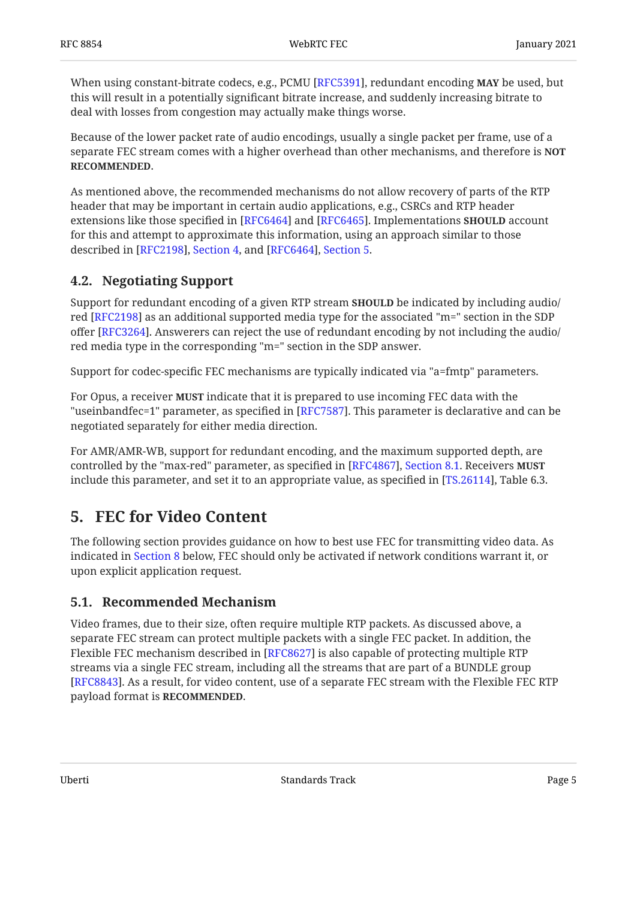When using constant-bitrate codecs, e.g., PCMU [RFC5391], redundant encoding **MAY** be used, but this will result in a potentially significant bitrate increase, and suddenly increasing bitrate to deal with losses from congestion may actually make things worse.

Because of the lower packet rate of audio encodings, usually a single packet per frame, use of a separate FEC stream comes with a higher overhead than other mechanisms, and therefore is **NOT** . **RECOMMENDED**

As mentioned above, the recommended mechanisms do not allow recovery of parts of the RTP header that may be important in certain audio applications, e.g., CSRCs and RTP header extensions like those specified in [RFC6464] and [RFC6465]. Implementations **SHOULD** account for this and attempt to approximate this information, using an approach similar to those described in [RFC2198], Section 4, and [RFC6464], Section 5.

### <span id="page-4-0"></span>**[4.2. Negotiating Support](#page-4-0)**

Support for redundant encoding of a given RTP stream **SHOULD** be indicated by including audio/ red [RFC2198] as an additional supported media type for the associated "m=" section in the SDP  $\,$ offer [RFC3264]. Answerers can reject the use of redundant encoding by not including the audio/ red media type in the corresponding "m=" section in the SDP answer.

Support for codec-specific FEC mechanisms are typically indicated via "a=fmtp" parameters.

For Opus, a receiver **MUST** indicate that it is prepared to use incoming FEC data with the "useinbandfec=1" parameter, as specified in [RFC7587]. This parameter is declarative and can be negotiated separately for either media direction.

For AMR/AMR-WB, support for redundant encoding, and the maximum supported depth, are controlled by the "max-red" parameter, as specified in [RFC4867], Section 8[.](https://www.rfc-editor.org/rfc/rfc4867#section-8.1)1. Receivers **MUST** include this parameter, and set it to an appropriate value, as specified in [TS.26114], Table 6.3.  $\,$ 

### <span id="page-4-1"></span>**[5. FEC for Video Content](#page-4-1)**

The following section provides guidance on how to best use FEC for transmitting video data. As indicated in [Section 8](#page-6-0) below, FEC should only be activated if network conditions warrant it, or upon explicit application request.

#### <span id="page-4-2"></span>**[5.1. Recommended Mechanism](#page-4-2)**

Video frames, due to their size, often require multiple RTP packets. As discussed above, a separate FEC stream can protect multiple packets with a single FEC packet. In addition, the Flexible FEC mechanism described in [RFC8627] is also capable of protecting multiple RTP streams via a single FEC stream, including all the streams that are part of a BUNDLE group [[RFC8843\]](#page-9-2). As a result, for video content, use of a separate FEC stream with the Flexible FEC RTP payload format is **RECOMMENDED**.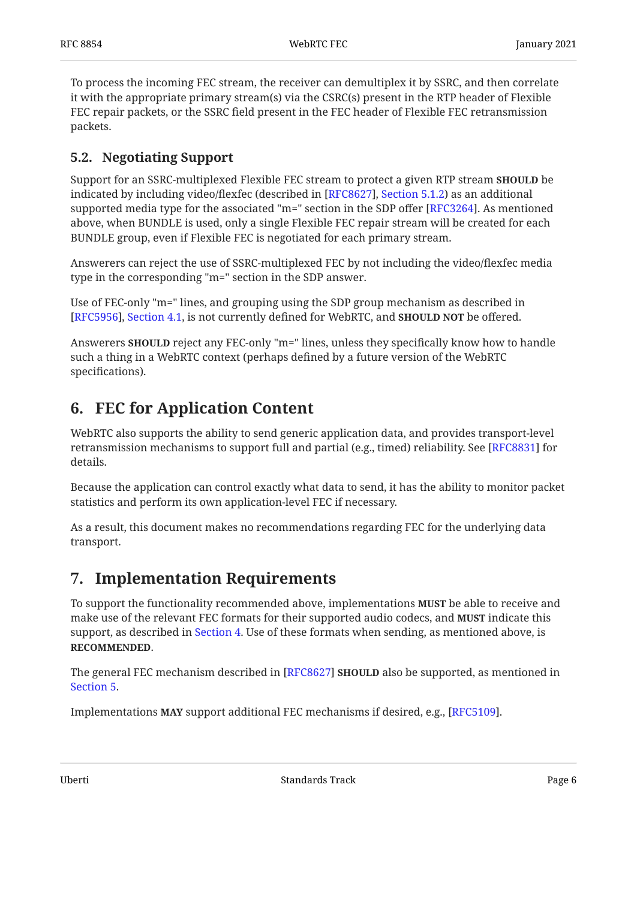To process the incoming FEC stream, the receiver can demultiplex it by SSRC, and then correlate it with the appropriate primary stream(s) via the CSRC(s) present in the RTP header of Flexible FEC repair packets, or the SSRC field present in the FEC header of Flexible FEC retransmission packets.

#### <span id="page-5-0"></span>**[5.2. Negotiating Support](#page-5-0)**

Support for an SSRC-multiplexed Flexible FEC stream to protect a given RTP stream **SHOULD** be indicated by including video/flexfec (described in [RFC8627], Section 5.1.2) as an additional supported media type for the associated "m=" section in the SDP offer [RFC3264]. As mentioned above, when BUNDLE is used, only a single Flexible FEC repair stream will be created for each BUNDLE group, even if Flexible FEC is negotiated for each primary stream.

Answerers can reject the use of SSRC-multiplexed FEC by not including the video/flexfec media type in the corresponding "m=" section in the SDP answer.

Use of FEC-only "m=" lines, and grouping using the SDP group mechanism as described in [[RFC5956\]](#page-7-6), [Section 4.1](https://www.rfc-editor.org/rfc/rfc5956#section-4.1), is not currently defined for WebRTC, and **SHOULD NOT** be offered.

Answerers **SHOULD** reject any FEC-only "m=" lines, unless they specifically know how to handle such a thing in a WebRTC context (perhaps defined by a future version of the WebRTC specifications).

# <span id="page-5-1"></span>**[6. FEC for Application Content](#page-5-1)**

WebRTC also supports the ability to send generic application data, and provides transport-level retransmission mechanisms to support full and partial (e.g., timed) reliability. See [RFC8831] for details.

Because the application can control exactly what data to send, it has the ability to monitor packet statistics and perform its own application-level FEC if necessary.

<span id="page-5-2"></span>As a result, this document makes no recommendations regarding FEC for the underlying data transport.

### **[7. Implementation Requirements](#page-5-2)**

To support the functionality recommended above, implementations **MUST** be able to receive and make use of the relevant FEC formats for their supported audio codecs, and **MUST** indicate this support, as described in [Section 4](#page-3-1). Use of these formats when sending, as mentioned above, is . **RECOMMENDED**

The general FEC mechanism described in [RFC8627] **SHOULD** also be supported, as mentioned in [Section 5.](#page-4-1)

Implementations MAY support additional FEC mechanisms if desired, e.g., [RFC5109].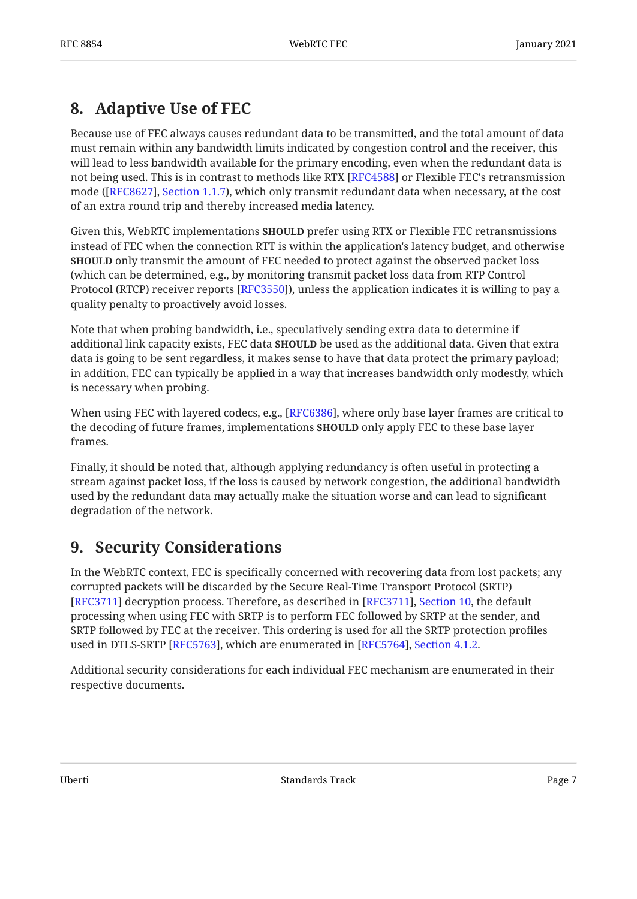# <span id="page-6-0"></span>**[8. Adaptive Use of FEC](#page-6-0)**

Because use of FEC always causes redundant data to be transmitted, and the total amount of data must remain within any bandwidth limits indicated by congestion control and the receiver, this will lead to less bandwidth available for the primary encoding, even when the redundant data is not being used. This is in contrast to methods like RTX [\[RFC4588](#page-8-7)] or Flexible FEC's retransmission mode ([ $\rm RFC8627$ ], [Section 1.1.7](https://www.rfc-editor.org/rfc/rfc8627#section-1.1.7)), which only transmit redundant data when necessary, at the cost of an extra round trip and thereby increased media latency.

Given this, WebRTC implementations **SHOULD** prefer using RTX or Flexible FEC retransmissions instead of FEC when the connection RTT is within the application's latency budget, and otherwise **SHOULD** only transmit the amount of FEC needed to protect against the observed packet loss (which can be determined, e.g., by monitoring transmit packet loss data from RTP Control Protocol (RTCP) receiver reports [RFC3550]), unless the application indicates it is willing to pay a quality penalty to proactively avoid losses.

Note that when probing bandwidth, i.e., speculatively sending extra data to determine if additional link capacity exists, FEC data **SHOULD** be used as the additional data. Given that extra data is going to be sent regardless, it makes sense to have that data protect the primary payload; in addition, FEC can typically be applied in a way that increases bandwidth only modestly, which is necessary when probing.

When using FEC with layered codecs, e.g., [RFC6386], where only base layer frames are critical to the decoding of future frames, implementations **SHOULD** only apply FEC to these base layer frames.

Finally, it should be noted that, although applying redundancy is often useful in protecting a stream against packet loss, if the loss is caused by network congestion, the additional bandwidth used by the redundant data may actually make the situation worse and can lead to significant degradation of the network.

# <span id="page-6-1"></span>**[9. Security Considerations](#page-6-1)**

In the WebRTC context, FEC is specifically concerned with recovering data from lost packets; any corrupted packets will be discarded by the Secure Real-Time Transport Protocol (SRTP) [[RFC3711\]](#page-8-9) decryption process. Therefore, as described in [RFC3711], Section 10, the default processing when using FEC with SRTP is to perform FEC followed by SRTP at the sender, and SRTP followed by FEC at the receiver. This ordering is used for all the SRTP protection profiles used in DTLS-SRTP [RFC5763], which are enumerated in [RFC5764], Section 4.1.2.

Additional security considerations for each individual FEC mechanism are enumerated in their respective documents.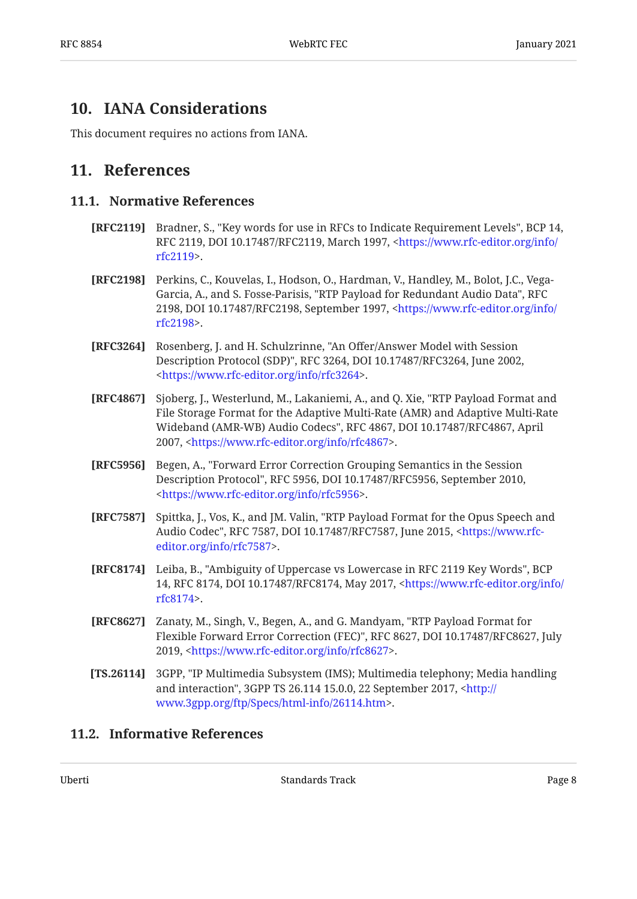### <span id="page-7-0"></span>**[10. IANA Considerations](#page-7-0)**

<span id="page-7-1"></span>This document requires no actions from IANA.

### <span id="page-7-2"></span>**[11. References](#page-7-1)**

#### **[11.1. Normative References](#page-7-2)**

- <span id="page-7-4"></span>**[RFC2119]** Bradner, S., "Key words for use in RFCs to Indicate Requirement Levels", BCP 14, RFC 2119, DOI 10.17487/RFC2119, March 1997, <[https://www.rfc-editor.org/info/](https://www.rfc-editor.org/info/rfc2119) . [rfc2119>](https://www.rfc-editor.org/info/rfc2119)
- <span id="page-7-7"></span>**[RFC2198]** Perkins, C., Kouvelas, I., Hodson, O., Hardman, V., Handley, M., Bolot, J.C., Vega-Garcia, A., and S. Fosse-Parisis, "RTP Payload for Redundant Audio Data", RFC 2198, DOI 10.17487/RFC2198, September 1997, <[https://www.rfc-editor.org/info/](https://www.rfc-editor.org/info/rfc2198) . [rfc2198>](https://www.rfc-editor.org/info/rfc2198)
- <span id="page-7-9"></span>**[RFC3264]** Rosenberg, J. and H. Schulzrinne, "An Offer/Answer Model with Session Description Protocol (SDP)", RFC 3264, DOI 10.17487/RFC3264, June 2002, . [<https://www.rfc-editor.org/info/rfc3264](https://www.rfc-editor.org/info/rfc3264)>
- <span id="page-7-8"></span>**[RFC4867]** Sjoberg, J., Westerlund, M., Lakaniemi, A., and Q. Xie, "RTP Payload Format and Wideband (AMR-WB) Audio Codecs", RFC 4867, DOI 10.17487/RFC4867, April 2007, <<https://www.rfc-editor.org/info/rfc4867>>. File Storage Format for the Adaptive Multi-Rate (AMR) and Adaptive Multi-Rate
- <span id="page-7-6"></span>**[RFC5956]** Begen, A., "Forward Error Correction Grouping Semantics in the Session Description Protocol", RFC 5956, DOI 10.17487/RFC5956, September 2010, . [<https://www.rfc-editor.org/info/rfc5956](https://www.rfc-editor.org/info/rfc5956)>
- <span id="page-7-10"></span>**[RFC7587]** Spittka, J., Vos, K., and JM. Valin, "RTP Payload Format for the Opus Speech and Audio Codec", RFC 7587, DOI 10.17487/RFC7587, June 2015, <[https://www.rfc-](https://www.rfc-editor.org/info/rfc7587). [editor.org/info/rfc7587>](https://www.rfc-editor.org/info/rfc7587)
- <span id="page-7-5"></span>**[RFC8174]** Leiba, B., "Ambiguity of Uppercase vs Lowercase in RFC 2119 Key Words", BCP 14, RFC 8174, DOI 10.17487/RFC8174, May 2017, [<https://www.rfc-editor.org/info/](https://www.rfc-editor.org/info/rfc8174) . [rfc8174>](https://www.rfc-editor.org/info/rfc8174)
- <span id="page-7-12"></span>**[RFC8627]** Zanaty, M., Singh, V., Begen, A., and G. Mandyam, "RTP Payload Format for Flexible Forward Error Correction (FEC)", RFC 8627, DOI 10.17487/RFC8627, July 2019, <<https://www.rfc-editor.org/info/rfc8627>>.
- <span id="page-7-11"></span>**[TS.26114]** 3GPP, "IP Multimedia Subsystem (IMS); Multimedia telephony; Media handling and interaction", 3GPP TS 26.114 15.0.0, 22 September 2017, <[http://](http://www.3gpp.org/ftp/Specs/html-info/26114.htm) . [www.3gpp.org/ftp/Specs/html-info/26114.htm>](http://www.3gpp.org/ftp/Specs/html-info/26114.htm)

#### <span id="page-7-3"></span>**[11.2. Informative References](#page-7-3)**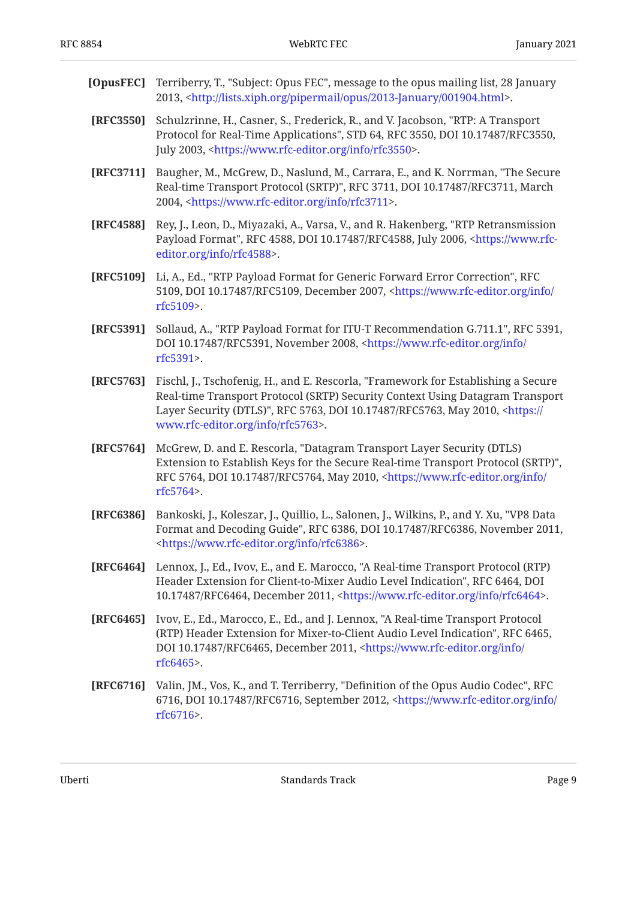<span id="page-8-10"></span><span id="page-8-9"></span><span id="page-8-7"></span><span id="page-8-6"></span><span id="page-8-3"></span><span id="page-8-2"></span><span id="page-8-0"></span>

| [OpusFEC] | Terriberry, T., "Subject: Opus FEC", message to the opus mailing list, 28 January<br>2013, <http: 001904.html="" 2013-january="" lists.xiph.org="" opus="" pipermail="">.</http:>                                                                                                                    |
|-----------|------------------------------------------------------------------------------------------------------------------------------------------------------------------------------------------------------------------------------------------------------------------------------------------------------|
| [RFC3550] | Schulzrinne, H., Casner, S., Frederick, R., and V. Jacobson, "RTP: A Transport<br>Protocol for Real-Time Applications", STD 64, RFC 3550, DOI 10.17487/RFC3550,<br>July 2003, <https: info="" rfc3550="" www.rfc-editor.org="">.</https:>                                                            |
| [RFC3711] | Baugher, M., McGrew, D., Naslund, M., Carrara, E., and K. Norrman, "The Secure<br>Real-time Transport Protocol (SRTP)", RFC 3711, DOI 10.17487/RFC3711, March<br>2004, <https: info="" rfc3711="" www.rfc-editor.org="">.</https:>                                                                   |
| [RFC4588] | Rey, J., Leon, D., Miyazaki, A., Varsa, V., and R. Hakenberg, "RTP Retransmission<br>Payload Format", RFC 4588, DOI 10.17487/RFC4588, July 2006, <https: www.rfc-<br="">editor.org/info/rfc4588&gt;.</https:>                                                                                        |
| [RFC5109] | Li, A., Ed., "RTP Payload Format for Generic Forward Error Correction", RFC<br>5109, DOI 10.17487/RFC5109, December 2007, <https: <br="" info="" www.rfc-editor.org="">rfc5109&gt;.</https:>                                                                                                         |
| [RFC5391] | Sollaud, A., "RTP Payload Format for ITU-T Recommendation G.711.1", RFC 5391,<br>DOI 10.17487/RFC5391, November 2008, <https: <br="" info="" www.rfc-editor.org="">rfc5391&gt;.</https:>                                                                                                             |
| [RFC5763] | Fischl, J., Tschofenig, H., and E. Rescorla, "Framework for Establishing a Secure<br>Real-time Transport Protocol (SRTP) Security Context Using Datagram Transport<br>Layer Security (DTLS)", RFC 5763, DOI 10.17487/RFC5763, May 2010, <https: <br="">www.rfc-editor.org/info/rfc5763&gt;.</https:> |
| [RFC5764] | McGrew, D. and E. Rescorla, "Datagram Transport Layer Security (DTLS)<br>Extension to Establish Keys for the Secure Real-time Transport Protocol (SRTP)",<br>RFC 5764, DOI 10.17487/RFC5764, May 2010, <https: <br="" info="" www.rfc-editor.org="">rfc5764&gt;.</https:>                            |
| [RFC6386] | Bankoski, J., Koleszar, J., Quillio, L., Salonen, J., Wilkins, P., and Y. Xu, "VP8 Data<br>Format and Decoding Guide", RFC 6386, DOI 10.17487/RFC6386, November 2011,<br><https: info="" rfc6386="" www.rfc-editor.org="">.</https:>                                                                 |
| [RFC6464] | Lennox, J., Ed., Ivov, E., and E. Marocco, "A Real-time Transport Protocol (RTP)<br>Header Extension for Client-to-Mixer Audio Level Indication", RFC 6464, DOI<br>10.17487/RFC6464, December 2011, <https: info="" rfc6464="" www.rfc-editor.org="">.</https:>                                      |
| [RFC6465] | Ivov, E., Ed., Marocco, E., Ed., and J. Lennox, "A Real-time Transport Protocol<br>(RTP) Header Extension for Mixer-to-Client Audio Level Indication", RFC 6465,<br>DOI 10.17487/RFC6465, December 2011, <https: <br="" info="" www.rfc-editor.org="">rfc6465&gt;.</https:>                          |
| [RFC6716] | Valin, JM., Vos, K., and T. Terriberry, "Definition of the Opus Audio Codec", RFC                                                                                                                                                                                                                    |

<span id="page-8-11"></span><span id="page-8-8"></span><span id="page-8-5"></span><span id="page-8-4"></span><span id="page-8-1"></span>6716, DOI 10.17487/RFC6716, September 2012, <[https://www.rfc-editor.org/info/](https://www.rfc-editor.org/info/rfc6716) . [rfc6716>](https://www.rfc-editor.org/info/rfc6716)

Uberti Page 9